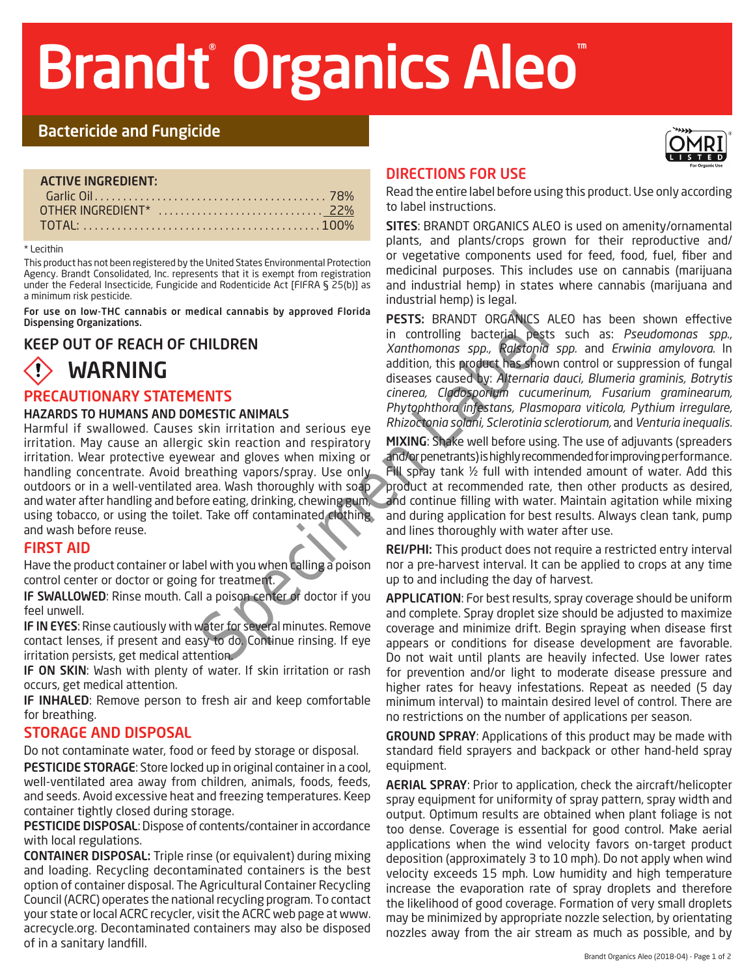# Brandt<sup>®</sup> Organics Aleo

## Bactericide and Fungicide

| <b>ACTIVE INGREDIENT:</b> |  |
|---------------------------|--|
|                           |  |
|                           |  |
|                           |  |

#### \* Lecithin

This product has not been registered by the United States Environmental Protection Agency. Brandt Consolidated, Inc. represents that it is exempt from registration under the Federal Insecticide, Fungicide and Rodenticide Act [FIFRA § 25(b)] as a minimum risk pesticide.

For use on low-THC cannabis or medical cannabis by approved Florida Dispensing Organizations.

#### KEEP OUT OF REACH OF CHILDREN

# WARNING

#### PRECAUTIONARY STATEMENTS

#### HAZARDS TO HUMANS AND DOMESTIC ANIMALS

FILLDREN<br>
In controlling bacterial pest<br>
in controlling bacterial pest<br>
addition, this product bas show<br>
addition, this product bas show<br>
diseases caused by: Alternaria<br>
INTIS<br>
Sum irritation and serious eye Rhizochonia so Harmful if swallowed. Causes skin irritation and serious eye irritation. May cause an allergic skin reaction and respiratory irritation. Wear protective eyewear and gloves when mixing or handling concentrate. Avoid breathing vapors/spray. Use only outdoors or in a well-ventilated area. Wash thoroughly with soap and water after handling and before eating, drinking, chewing gum, using tobacco, or using the toilet. Take off contaminated clothing and wash before reuse.

#### FIRST AID

Have the product container or label with you when calling a poison control center or doctor or going for treatment.

IF SWALLOWED: Rinse mouth. Call a poison center or doctor if you feel unwell.

IF IN EYES: Rinse cautiously with water for several minutes. Remove contact lenses, if present and easy to do. Continue rinsing. If eye irritation persists, get medical attention.

IF ON SKIN: Wash with plenty of water. If skin irritation or rash occurs, get medical attention.

IF INHALED: Remove person to fresh air and keep comfortable for breathing.

#### STORAGE AND DISPOSAL

Do not contaminate water, food or feed by storage or disposal.

PESTICIDE STORAGE: Store locked up in original container in a cool, well-ventilated area away from children, animals, foods, feeds, and seeds. Avoid excessive heat and freezing temperatures. Keep container tightly closed during storage.

PESTICIDE DISPOSAL: Dispose of contents/container in accordance with local regulations.

CONTAINER DISPOSAL: Triple rinse (or equivalent) during mixing and loading. Recycling decontaminated containers is the best option of container disposal. The Agricultural Container Recycling Council (ACRC) operates the national recycling program. To contact your state or local ACRC recycler, visit the ACRC web page at www. acrecycle.org. Decontaminated containers may also be disposed of in a sanitary landfill.



#### DIRECTIONS FOR USE

Read the entire label before using this product. Use only according to label instructions.

SITES: BRANDT ORGANICS ALEO is used on amenity/ornamental plants, and plants/crops grown for their reproductive and/ or vegetative components used for feed, food, fuel, fiber and medicinal purposes. This includes use on cannabis (marijuana and industrial hemp) in states where cannabis (marijuana and industrial hemp) is legal.

PESTS: BRANDT ORGANICS ALEO has been shown effective in controlling bacterial pests such as: *Pseudomonas spp*., *Xanthomonas spp., Ralstonia spp.* and *Erwinia amylovora*. In addition, this product has shown control or suppression of fungal diseases caused by: *Alternaria dauci, Blumeria graminis, Botrytis cinerea, Cladosporium cucumerinum, Fusarium graminearum, Phytophthora infestans, Plasmopara viticola, Pythium irregulare, Rhizoctonia solani, Sclerotinia sclerotiorum,* and *Venturia inequalis.*

MIXING: Shake well before using. The use of adjuvants (spreaders and/or penetrants) is highly recommended for improving performance. Fill spray tank ½ full with intended amount of water. Add this product at recommended rate, then other products as desired, and continue filling with water. Maintain agitation while mixing and during application for best results. Always clean tank, pump and lines thoroughly with water after use.

REI/PHI: This product does not require a restricted entry interval nor a pre-harvest interval. It can be applied to crops at any time up to and including the day of harvest.

APPLICATION: For best results, spray coverage should be uniform and complete. Spray droplet size should be adjusted to maximize coverage and minimize drift. Begin spraying when disease first appears or conditions for disease development are favorable. Do not wait until plants are heavily infected. Use lower rates for prevention and/or light to moderate disease pressure and higher rates for heavy infestations. Repeat as needed (5 day minimum interval) to maintain desired level of control. There are no restrictions on the number of applications per season.

GROUND SPRAY: Applications of this product may be made with standard field sprayers and backpack or other hand-held spray equipment.

AERIAL SPRAY: Prior to application, check the aircraft/helicopter spray equipment for uniformity of spray pattern, spray width and output. Optimum results are obtained when plant foliage is not too dense. Coverage is essential for good control. Make aerial applications when the wind velocity favors on-target product deposition (approximately 3 to 10 mph). Do not apply when wind velocity exceeds 15 mph. Low humidity and high temperature increase the evaporation rate of spray droplets and therefore the likelihood of good coverage. Formation of very small droplets may be minimized by appropriate nozzle selection, by orientating nozzles away from the air stream as much as possible, and by